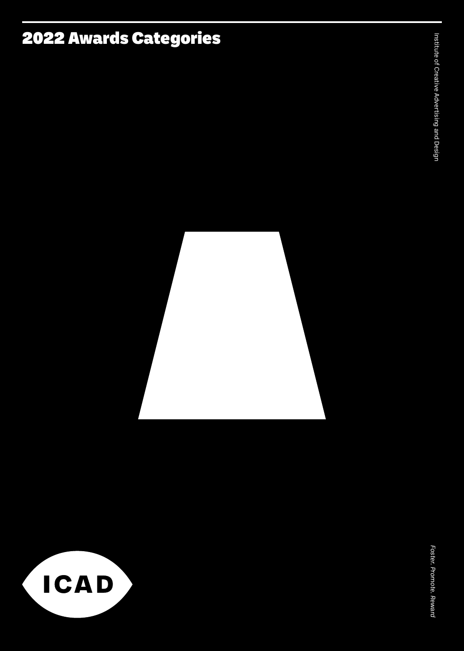## 2022 Awards Categories

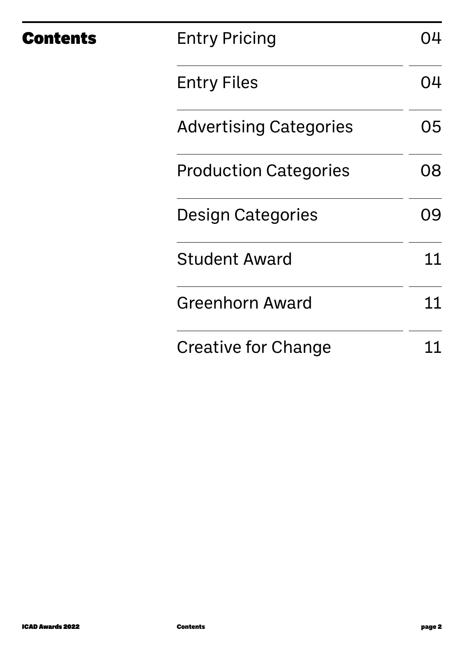| <b>Contents</b> | <b>Entry Pricing</b>          | 04 |
|-----------------|-------------------------------|----|
|                 | <b>Entry Files</b>            | 04 |
|                 | <b>Advertising Categories</b> | 05 |
|                 | <b>Production Categories</b>  | 08 |
|                 | <b>Design Categories</b>      | 09 |
|                 | <b>Student Award</b>          | 11 |
|                 | <b>Greenhorn Award</b>        | 11 |
|                 | Creative for Change           |    |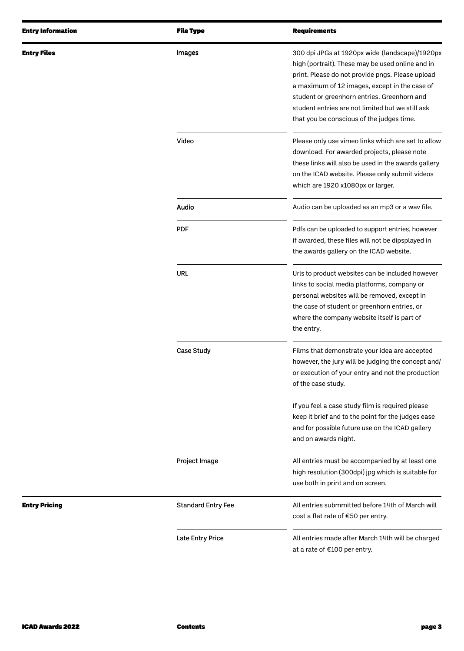| <b>Entry Information</b> | <b>File Type</b>          | <b>Requirements</b>                                                                                                                                                                                                                                                                                                                                     |
|--------------------------|---------------------------|---------------------------------------------------------------------------------------------------------------------------------------------------------------------------------------------------------------------------------------------------------------------------------------------------------------------------------------------------------|
| <b>Entry Files</b>       | Images                    | 300 dpi JPGs at 1920px wide (landscape)/1920px<br>high (portrait). These may be used online and in<br>print. Please do not provide pngs. Please upload<br>a maximum of 12 images, except in the case of<br>student or greenhorn entries. Greenhorn and<br>student entries are not limited but we still ask<br>that you be conscious of the judges time. |
|                          | Video                     | Please only use vimeo links which are set to allow<br>download. For awarded projects, please note<br>these links will also be used in the awards gallery<br>on the ICAD website. Please only submit videos<br>which are 1920 x1080px or larger.                                                                                                         |
|                          | Audio                     | Audio can be uploaded as an mp3 or a wav file.                                                                                                                                                                                                                                                                                                          |
|                          | <b>PDF</b>                | Pdfs can be uploaded to support entries, however<br>if awarded, these files will not be dipsplayed in<br>the awards gallery on the ICAD website.                                                                                                                                                                                                        |
|                          | <b>URL</b>                | Urls to product websites can be included however<br>links to social media platforms, company or<br>personal websites will be removed, except in<br>the case of student or greenhorn entries, or<br>where the company website itself is part of<br>the entry.                                                                                            |
|                          | Case Study                | Films that demonstrate your idea are accepted<br>however, the jury will be judging the concept and/<br>or execution of your entry and not the production<br>of the case study.                                                                                                                                                                          |
|                          |                           | If you feel a case study film is required please<br>keep it brief and to the point for the judges ease<br>and for possible future use on the ICAD gallery<br>and on awards night.                                                                                                                                                                       |
|                          | Project Image             | All entries must be accompanied by at least one<br>high resolution (300dpi) jpg which is suitable for<br>use both in print and on screen.                                                                                                                                                                                                               |
| <b>Entry Pricing</b>     | <b>Standard Entry Fee</b> | All entries submmitted before 14th of March will<br>cost a flat rate of €50 per entry.                                                                                                                                                                                                                                                                  |
|                          | <b>Late Entry Price</b>   | All entries made after March 14th will be charged<br>at a rate of €100 per entry.                                                                                                                                                                                                                                                                       |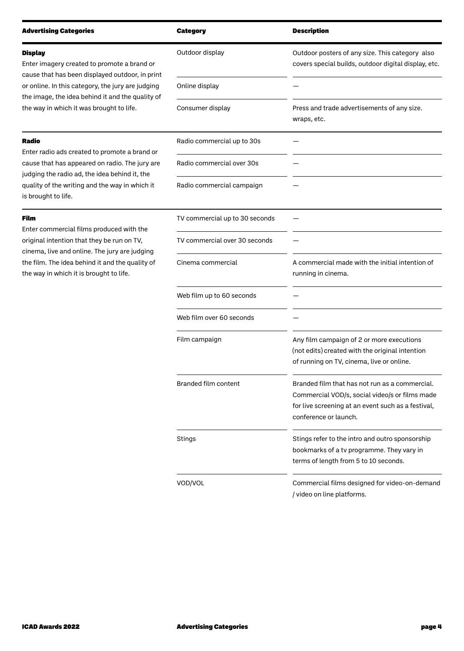| <b>Advertising Categories</b>                                                                                                                    | Category                       | <b>Description</b>                                                                                                                                                              |
|--------------------------------------------------------------------------------------------------------------------------------------------------|--------------------------------|---------------------------------------------------------------------------------------------------------------------------------------------------------------------------------|
| <b>Display</b><br>Enter imagery created to promote a brand or<br>cause that has been displayed outdoor, in print                                 | Outdoor display                | Outdoor posters of any size. This category also<br>covers special builds, outdoor digital display, etc.                                                                         |
| or online. In this category, the jury are judging<br>the image, the idea behind it and the quality of                                            | Online display                 |                                                                                                                                                                                 |
| the way in which it was brought to life.                                                                                                         | Consumer display               | Press and trade advertisements of any size.<br>wraps, etc.                                                                                                                      |
| Radio                                                                                                                                            | Radio commercial up to 30s     |                                                                                                                                                                                 |
| Enter radio ads created to promote a brand or<br>cause that has appeared on radio. The jury are<br>judging the radio ad, the idea behind it, the | Radio commercial over 30s      |                                                                                                                                                                                 |
| quality of the writing and the way in which it<br>is brought to life.                                                                            | Radio commercial campaign      |                                                                                                                                                                                 |
| Film                                                                                                                                             | TV commercial up to 30 seconds |                                                                                                                                                                                 |
| Enter commercial films produced with the<br>original intention that they be run on TV,                                                           | TV commercial over 30 seconds  |                                                                                                                                                                                 |
| cinema, live and online. The jury are judging<br>the film. The idea behind it and the quality of<br>the way in which it is brought to life.      | Cinema commercial              | A commercial made with the initial intention of<br>running in cinema.                                                                                                           |
|                                                                                                                                                  | Web film up to 60 seconds      |                                                                                                                                                                                 |
|                                                                                                                                                  | Web film over 60 seconds       |                                                                                                                                                                                 |
|                                                                                                                                                  | Film campaign                  | Any film campaign of 2 or more executions<br>(not edits) created with the original intention<br>of running on TV, cinema, live or online.                                       |
|                                                                                                                                                  | <b>Branded film content</b>    | Branded film that has not run as a commercial.<br>Commercial VOD/s, social video/s or films made<br>for live screening at an event such as a festival,<br>conference or launch. |
|                                                                                                                                                  | Stings                         | Stings refer to the intro and outro sponsorship<br>bookmarks of a tv programme. They vary in<br>terms of length from 5 to 10 seconds.                                           |
|                                                                                                                                                  | VOD/VOL                        | Commercial films designed for video-on-demand<br>video on line platforms.                                                                                                       |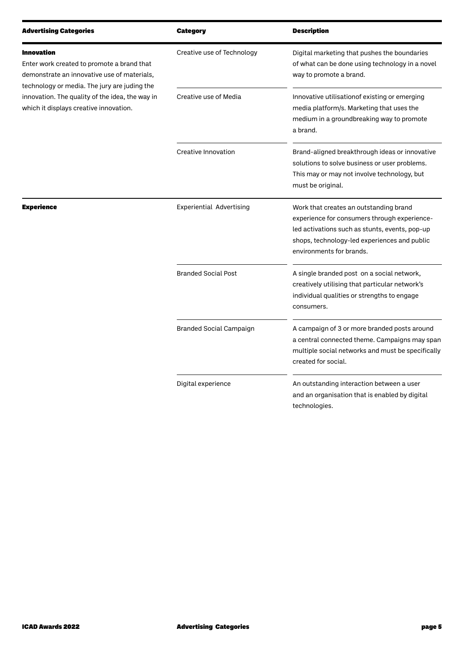| <b>Advertising Categories</b>                                                                                                             | <b>Category</b>                 | <b>Description</b>                                                                                                                                                                                                   |
|-------------------------------------------------------------------------------------------------------------------------------------------|---------------------------------|----------------------------------------------------------------------------------------------------------------------------------------------------------------------------------------------------------------------|
| <b>Innovation</b><br>Enter work created to promote a brand that<br>demonstrate an innovative use of materials,                            | Creative use of Technology      | Digital marketing that pushes the boundaries<br>of what can be done using technology in a novel<br>way to promote a brand.                                                                                           |
| technology or media. The jury are juding the<br>innovation. The quality of the idea, the way in<br>which it displays creative innovation. | Creative use of Media           | Innovative utilisationof existing or emerging<br>media platform/s. Marketing that uses the<br>medium in a groundbreaking way to promote<br>a brand.                                                                  |
|                                                                                                                                           | Creative Innovation             | Brand-aligned breakthrough ideas or innovative<br>solutions to solve business or user problems.<br>This may or may not involve technology, but<br>must be original.                                                  |
| <b>Experience</b>                                                                                                                         | <b>Experiential Advertising</b> | Work that creates an outstanding brand<br>experience for consumers through experience-<br>led activations such as stunts, events, pop-up<br>shops, technology-led experiences and public<br>environments for brands. |
|                                                                                                                                           | <b>Branded Social Post</b>      | A single branded post on a social network,<br>creatively utilising that particular network's<br>individual qualities or strengths to engage<br>consumers.                                                            |
|                                                                                                                                           | <b>Branded Social Campaign</b>  | A campaign of 3 or more branded posts around<br>a central connected theme. Campaigns may span<br>multiple social networks and must be specifically<br>created for social.                                            |
|                                                                                                                                           | Digital experience              | An outstanding interaction between a user<br>and an organisation that is enabled by digital<br>technologies.                                                                                                         |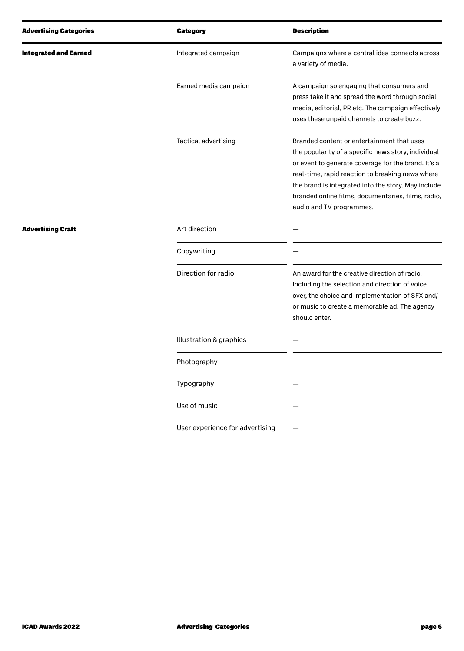| <b>Advertising Categories</b> | <b>Category</b>                 | <b>Description</b>                                                                                                                                                                                                                                                                                                                                    |
|-------------------------------|---------------------------------|-------------------------------------------------------------------------------------------------------------------------------------------------------------------------------------------------------------------------------------------------------------------------------------------------------------------------------------------------------|
| <b>Integrated and Earned</b>  | Integrated campaign             | Campaigns where a central idea connects across<br>a variety of media.                                                                                                                                                                                                                                                                                 |
|                               | Earned media campaign           | A campaign so engaging that consumers and<br>press take it and spread the word through social<br>media, editorial, PR etc. The campaign effectively<br>uses these unpaid channels to create buzz.                                                                                                                                                     |
|                               | Tactical advertising            | Branded content or entertainment that uses<br>the popularity of a specific news story, individual<br>or event to generate coverage for the brand. It's a<br>real-time, rapid reaction to breaking news where<br>the brand is integrated into the story. May include<br>branded online films, documentaries, films, radio,<br>audio and TV programmes. |
| <b>Advertising Craft</b>      | Art direction                   |                                                                                                                                                                                                                                                                                                                                                       |
|                               | Copywriting                     |                                                                                                                                                                                                                                                                                                                                                       |
|                               | Direction for radio             | An award for the creative direction of radio.<br>Including the selection and direction of voice<br>over, the choice and implementation of SFX and/<br>or music to create a memorable ad. The agency<br>should enter.                                                                                                                                  |
|                               | Illustration & graphics         |                                                                                                                                                                                                                                                                                                                                                       |
|                               | Photography                     |                                                                                                                                                                                                                                                                                                                                                       |
|                               | Typography                      |                                                                                                                                                                                                                                                                                                                                                       |
|                               | Use of music                    |                                                                                                                                                                                                                                                                                                                                                       |
|                               | User experience for advertising |                                                                                                                                                                                                                                                                                                                                                       |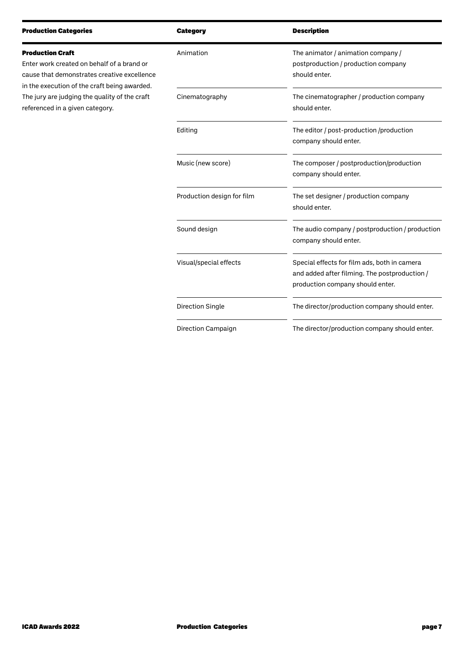|                                   | <b>Category</b>            | <b>Description</b>                                                                                                                |
|-----------------------------------|----------------------------|-----------------------------------------------------------------------------------------------------------------------------------|
| rand or<br>excellence<br>awarded. | Animation                  | The animator / animation company /<br>postproduction / production company<br>should enter.                                        |
| he craft                          | Cinematography             | The cinematographer / production company<br>should enter.                                                                         |
|                                   | Editing                    | The editor / post-production /production<br>company should enter.                                                                 |
|                                   | Music (new score)          | The composer / postproduction/production<br>company should enter.                                                                 |
|                                   | Production design for film | The set designer / production company<br>should enter.                                                                            |
|                                   | Sound design               | The audio company / postproduction / production<br>company should enter.                                                          |
|                                   | Visual/special effects     | Special effects for film ads, both in camera<br>and added after filming. The postproduction /<br>production company should enter. |
|                                   | Direction Single           | The director/production company should enter.                                                                                     |
|                                   |                            |                                                                                                                                   |

The director/production company should enter.

Production Categories

cause that demonstrates creative e in the execution of the craft being a The jury are judging the quality of the referenced in a given category.

Direction Campaign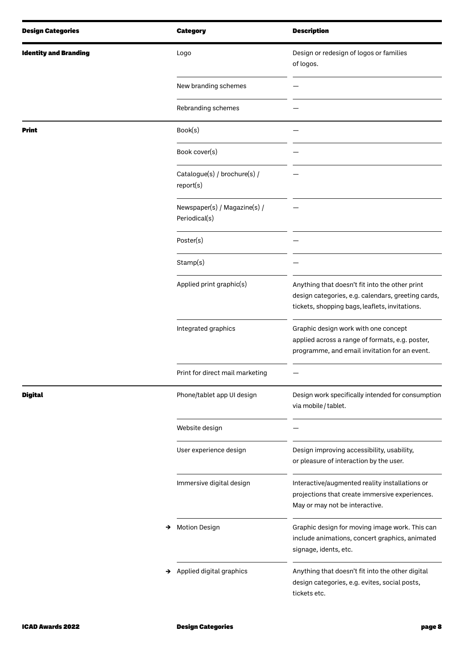| <b>Design Categories</b>     | <b>Category</b>                               | <b>Description</b>                                                                                                                                     |
|------------------------------|-----------------------------------------------|--------------------------------------------------------------------------------------------------------------------------------------------------------|
| <b>Identity and Branding</b> | Logo                                          | Design or redesign of logos or families<br>of logos.                                                                                                   |
|                              | New branding schemes                          |                                                                                                                                                        |
|                              | Rebranding schemes                            |                                                                                                                                                        |
| Print                        | Book(s)                                       |                                                                                                                                                        |
|                              | Book cover(s)                                 |                                                                                                                                                        |
|                              | Catalogue(s) / brochure(s) /<br>report(s)     |                                                                                                                                                        |
|                              | Newspaper(s) / Magazine(s) /<br>Periodical(s) |                                                                                                                                                        |
|                              | Poster(s)                                     |                                                                                                                                                        |
|                              | Stamp(s)                                      |                                                                                                                                                        |
|                              | Applied print graphic(s)                      | Anything that doesn't fit into the other print<br>design categories, e.g. calendars, greeting cards,<br>tickets, shopping bags, leaflets, invitations. |
|                              | Integrated graphics                           | Graphic design work with one concept<br>applied across a range of formats, e.g. poster,<br>programme, and email invitation for an event.               |
|                              | Print for direct mail marketing               |                                                                                                                                                        |
| <b>Digital</b>               | Phone/tablet app UI design                    | Design work specifically intended for consumption<br>via mobile / tablet.                                                                              |
|                              | Website design                                |                                                                                                                                                        |
|                              | User experience design                        | Design improving accessibility, usability,<br>or pleasure of interaction by the user.                                                                  |
|                              | Immersive digital design                      | Interactive/augmented reality installations or<br>projections that create immersive experiences.<br>May or may not be interactive.                     |
|                              | <b>Motion Design</b><br>→                     | Graphic design for moving image work. This can<br>include animations, concert graphics, animated<br>signage, idents, etc.                              |
|                              | Applied digital graphics<br>→                 | Anything that doesn't fit into the other digital<br>design categories, e.g. evites, social posts,<br>tickets etc.                                      |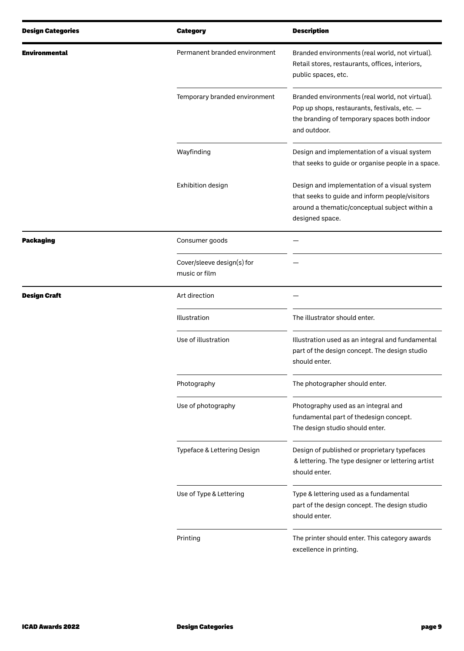| <b>Design Categories</b> | <b>Category</b>                             | <b>Description</b>                                                                                                                                                 |
|--------------------------|---------------------------------------------|--------------------------------------------------------------------------------------------------------------------------------------------------------------------|
| Environmental            | Permanent branded environment               | Branded environments (real world, not virtual).<br>Retail stores, restaurants, offices, interiors,<br>public spaces, etc.                                          |
|                          | Temporary branded environment               | Branded environments (real world, not virtual).<br>Pop up shops, restaurants, festivals, etc. -<br>the branding of temporary spaces both indoor<br>and outdoor.    |
|                          | Wayfinding                                  | Design and implementation of a visual system<br>that seeks to guide or organise people in a space.                                                                 |
|                          | Exhibition design                           | Design and implementation of a visual system<br>that seeks to guide and inform people/visitors<br>around a thematic/conceptual subject within a<br>designed space. |
| <b>Packaging</b>         | Consumer goods                              |                                                                                                                                                                    |
|                          | Cover/sleeve design(s) for<br>music or film |                                                                                                                                                                    |
| <b>Design Craft</b>      | Art direction                               |                                                                                                                                                                    |
|                          | Illustration                                | The illustrator should enter.                                                                                                                                      |
|                          | Use of illustration                         | Illustration used as an integral and fundamental<br>part of the design concept. The design studio<br>should enter.                                                 |
|                          | Photography                                 | The photographer should enter.                                                                                                                                     |
|                          | Use of photography                          | Photography used as an integral and<br>fundamental part of thedesign concept.<br>The design studio should enter.                                                   |
|                          | Typeface & Lettering Design                 | Design of published or proprietary typefaces<br>& lettering. The type designer or lettering artist<br>should enter.                                                |
|                          | Use of Type & Lettering                     | Type & lettering used as a fundamental<br>part of the design concept. The design studio<br>should enter.                                                           |
|                          | Printing                                    | The printer should enter. This category awards<br>excellence in printing.                                                                                          |